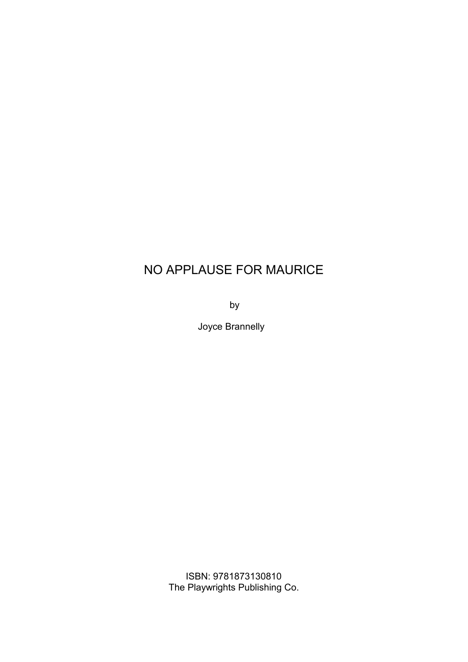by the state of  $\mathbf b$ 

Joyce Brannelly

ISBN: 9781873130810 The Playwrights Publishing Co.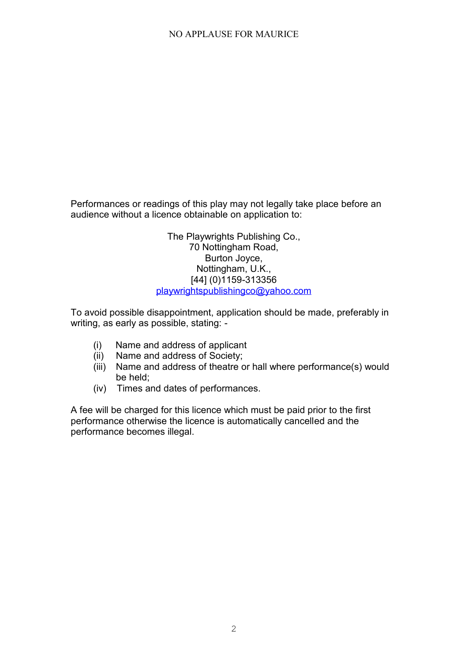Performances or readings of this play may not legally take place before an audience without a licence obtainable on application to:

> The Playwrights Publishing Co., 70 Nottingham Road, Burton Joyce, Nottingham, U.K., [44] (0)1159-313356 playwrightspublishingco@yahoo.com

To avoid possible disappointment, application should be made, preferably in writing, as early as possible, stating: -

- (i) Name and address of applicant
- (ii) Name and address of Society;
- (iii) Name and address of theatre or hall where performance(s) would be held;
- (iv) Times and dates of performances.

A fee will be charged for this licence which must be paid prior to the first performance otherwise the licence is automatically cancelled and the performance becomes illegal.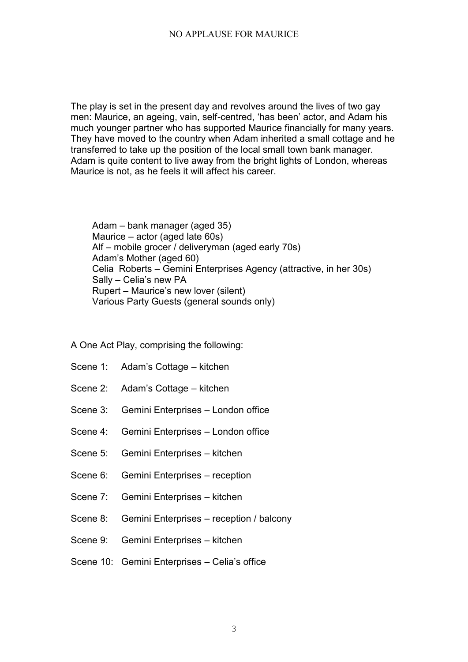The play is set in the present day and revolves around the lives of two gay men: Maurice, an ageing, vain, self-centred, 'has been' actor, and Adam his much younger partner who has supported Maurice financially for many years. They have moved to the country when Adam inherited a small cottage and he transferred to take up the position of the local small town bank manager. Adam is quite content to live away from the bright lights of London, whereas Maurice is not, as he feels it will affect his career.

Adam – bank manager (aged 35) Maurice – actor (aged late 60s) Alf – mobile grocer / deliveryman (aged early 70s) Adam's Mother (aged 60) Celia Roberts – Gemini Enterprises Agency (attractive, in her 30s) Sally – Celia's new PA Rupert – Maurice's new lover (silent) Various Party Guests (general sounds only)

# A One Act Play, comprising the following:

- Scene 1: Adam's Cottage kitchen
- Scene 2: Adam's Cottage kitchen
- Scene 3: Gemini Enterprises London office
- Scene 4: Gemini Enterprises London office
- Scene 5: Gemini Enterprises kitchen
- Scene 6: Gemini Enterprises reception
- Scene 7: Gemini Enterprises kitchen
- Scene 8: Gemini Enterprises reception / balcony
- Scene 9: Gemini Enterprises kitchen
- Scene 10: Gemini Enterprises Celia's office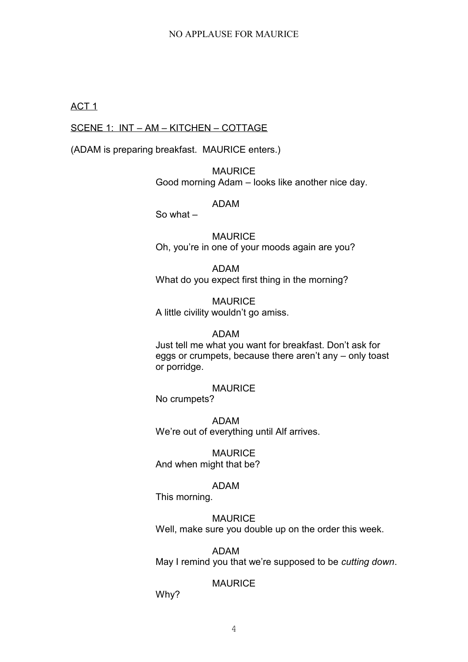## ACT 1

# SCENE 1: INT – AM – KITCHEN – COTTAGE

(ADAM is preparing breakfast. MAURICE enters.)

MAURICE Good morning Adam – looks like another nice day.

# ADAM

So what –

**MAURICE** Oh, you're in one of your moods again are you?

ADAM What do you expect first thing in the morning?

**MAURICE** A little civility wouldn't go amiss.

# ADAM

Just tell me what you want for breakfast. Don't ask for eggs or crumpets, because there aren't any – only toast or porridge.

# **MAURICE**

No crumpets?

ADAM We're out of everything until Alf arrives.

**MAURICE** And when might that be?

# ADAM

This morning.

# MAURICE

Well, make sure you double up on the order this week.

ADAM

May I remind you that we're supposed to be *cutting down*.

# MAURICE

Why?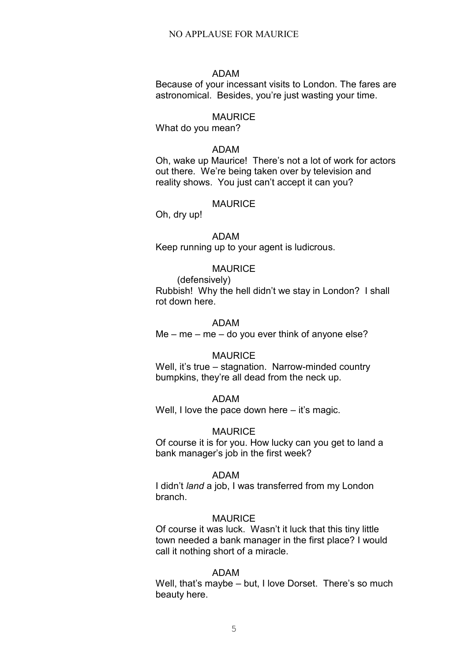## ADAM

Because of your incessant visits to London. The fares are astronomical. Besides, you're just wasting your time.

## MAURICE

What do you mean?

#### ADAM

Oh, wake up Maurice! There's not a lot of work for actors out there. We're being taken over by television and reality shows. You just can't accept it can you?

#### **MAURICE**

Oh, dry up!

# ADAM

Keep running up to your agent is ludicrous.

# **MAURICE**

(defensively) Rubbish! Why the hell didn't we stay in London? I shall rot down here.

## ADAM

 $Me - me - me - do$  you ever think of anyone else?

#### MAURICE

Well, it's true – stagnation. Narrow-minded country bumpkins, they're all dead from the neck up.

#### ADAM

Well, I love the pace down here – it's magic.

#### **MAURICE**

Of course it is for you. How lucky can you get to land a bank manager's job in the first week?

#### ADAM

I didn't *land* a job, I was transferred from my London branch.

#### **MAURICE**

Of course it was luck. Wasn't it luck that this tiny little town needed a bank manager in the first place? I would call it nothing short of a miracle.

## ADAM

Well, that's maybe – but, I love Dorset. There's so much beauty here.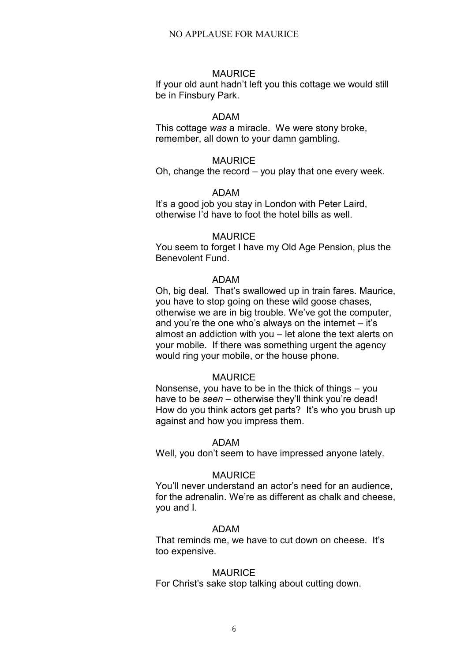#### MAURICE

If your old aunt hadn't left you this cottage we would still be in Finsbury Park.

#### ADAM

This cottage *was* a miracle. We were stony broke, remember, all down to your damn gambling.

## **MAURICE**

Oh, change the record – you play that one every week.

## ADAM

It's a good job you stay in London with Peter Laird, otherwise I'd have to foot the hotel bills as well.

## **MAURICE**

You seem to forget I have my Old Age Pension, plus the Benevolent Fund.

## ADAM

Oh, big deal. That's swallowed up in train fares. Maurice, you have to stop going on these wild goose chases, otherwise we are in big trouble. We've got the computer, and you're the one who's always on the internet – it's almost an addiction with you – let alone the text alerts on your mobile. If there was something urgent the agency would ring your mobile, or the house phone.

#### **MAURICE**

Nonsense, you have to be in the thick of things – you have to be *seen* – otherwise they'll think you're dead! How do you think actors get parts? It's who you brush up against and how you impress them.

#### ADAM

Well, you don't seem to have impressed anyone lately.

#### **MAURICE**

You'll never understand an actor's need for an audience, for the adrenalin. We're as different as chalk and cheese, you and I.

## ADAM

That reminds me, we have to cut down on cheese. It's too expensive.

#### **MAURICE**

For Christ's sake stop talking about cutting down.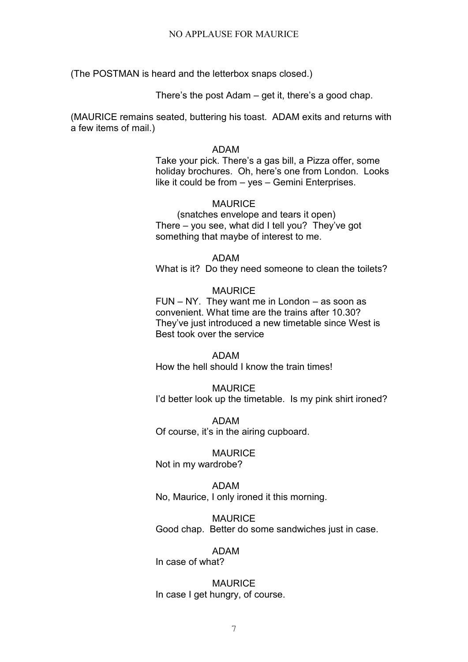(The POSTMAN is heard and the letterbox snaps closed.)

There's the post Adam – get it, there's a good chap.

(MAURICE remains seated, buttering his toast. ADAM exits and returns with a few items of mail.)

## ADAM

Take your pick. There's a gas bill, a Pizza offer, some holiday brochures. Oh, here's one from London. Looks like it could be from – yes – Gemini Enterprises.

# **MAURICE**

(snatches envelope and tears it open) There – you see, what did I tell you? They've got something that maybe of interest to me.

# ADAM

What is it? Do they need someone to clean the toilets?

# MAURICE

FUN – NY. They want me in London – as soon as convenient. What time are the trains after 10.30? They've just introduced a new timetable since West is Best took over the service

ADAM How the hell should I know the train times!

**MAURICE** I'd better look up the timetable. Is my pink shirt ironed?

ADAM Of course, it's in the airing cupboard.

**MAURICE** Not in my wardrobe?

ADAM No, Maurice, I only ironed it this morning.

MAURICE Good chap. Better do some sandwiches just in case.

## ADAM

In case of what?

**MAURICE** In case I get hungry, of course.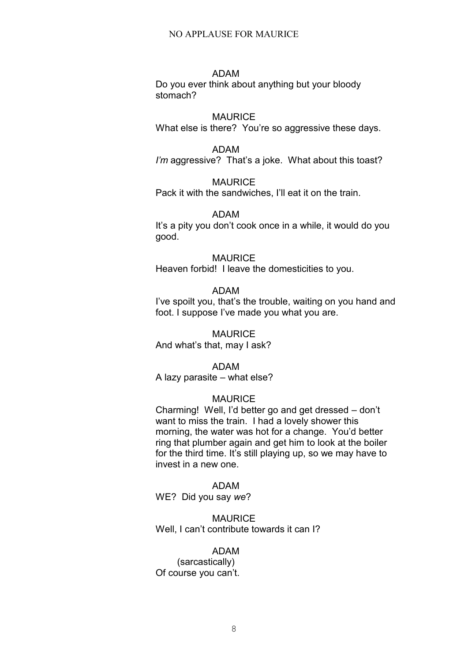## ADAM

Do you ever think about anything but your bloody stomach?

## **MAURICE**

What else is there? You're so aggressive these days.

## ADAM

*I'm* aggressive? That's a joke. What about this toast?

## **MAURICE**

Pack it with the sandwiches, I'll eat it on the train.

## ADAM

It's a pity you don't cook once in a while, it would do you good.

#### **MAURICE**

Heaven forbid! I leave the domesticities to you.

# ADAM

I've spoilt you, that's the trouble, waiting on you hand and foot. I suppose I've made you what you are.

**MAURICE** And what's that, may I ask?

## ADAM

A lazy parasite – what else?

#### **MAURICE**

Charming! Well, I'd better go and get dressed – don't want to miss the train. I had a lovely shower this morning, the water was hot for a change. You'd better ring that plumber again and get him to look at the boiler for the third time. It's still playing up, so we may have to invest in a new one.

## ADAM

WE? Did you say *we*?

#### **MAURICE**

Well, I can't contribute towards it can I?

#### ADAM

(sarcastically) Of course you can't.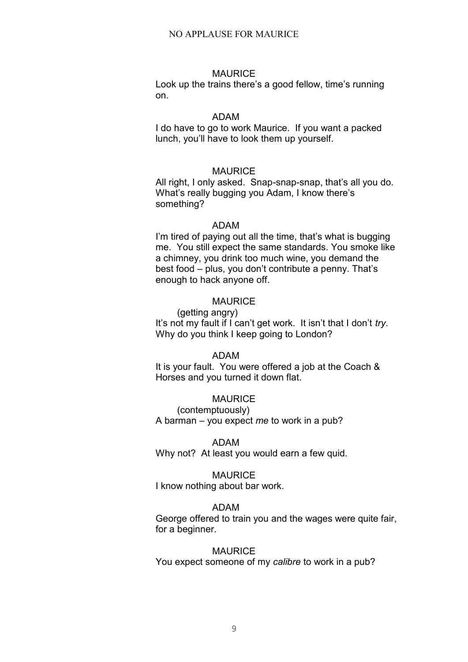#### **MAURICE**

Look up the trains there's a good fellow, time's running on.

#### ADAM

I do have to go to work Maurice. If you want a packed lunch, you'll have to look them up yourself.

## MAURICE

All right, I only asked. Snap-snap-snap, that's all you do. What's really bugging you Adam, I know there's something?

#### ADAM

I'm tired of paying out all the time, that's what is bugging me. You still expect the same standards. You smoke like a chimney, you drink too much wine, you demand the best food – plus, you don't contribute a penny. That's enough to hack anyone off.

## MAURICE

(getting angry) It's not my fault if I can't get work. It isn't that I don't *try*. Why do you think I keep going to London?

#### ADAM

It is your fault. You were offered a job at the Coach & Horses and you turned it down flat.

## MAURICE

(contemptuously) A barman – you expect *me* to work in a pub?

#### ADAM

Why not? At least you would earn a few quid.

#### **MAURICE**

I know nothing about bar work.

#### ADAM

George offered to train you and the wages were quite fair, for a beginner.

#### **MAURICE**

You expect someone of my *calibre* to work in a pub?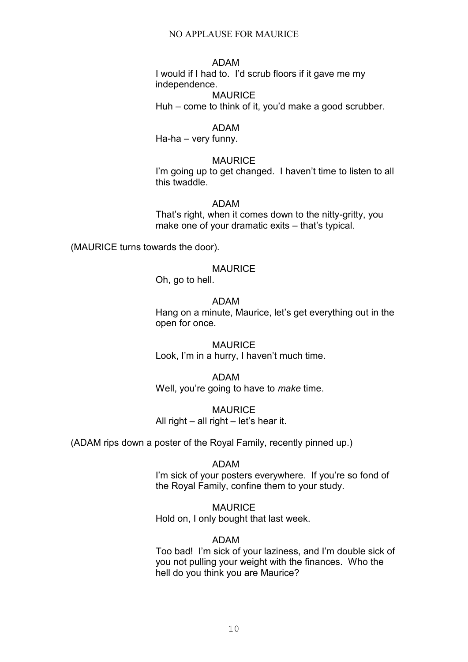# ADAM

I would if I had to. I'd scrub floors if it gave me my independence.

**MAURICE** Huh – come to think of it, you'd make a good scrubber.

## ADAM

Ha-ha – very funny.

#### MAURICE

I'm going up to get changed. I haven't time to listen to all this twaddle.

## ADAM

That's right, when it comes down to the nitty-gritty, you make one of your dramatic exits – that's typical.

(MAURICE turns towards the door).

# MAURICE

Oh, go to hell.

# ADAM

Hang on a minute, Maurice, let's get everything out in the open for once.

MAURICE Look, I'm in a hurry, I haven't much time.

ADAM Well, you're going to have to *make* time.

MAURICE All right – all right – let's hear it.

(ADAM rips down a poster of the Royal Family, recently pinned up.)

#### ADAM

I'm sick of your posters everywhere. If you're so fond of the Royal Family, confine them to your study.

MAURICE Hold on, I only bought that last week.

## ADAM

Too bad! I'm sick of your laziness, and I'm double sick of you not pulling your weight with the finances. Who the hell do you think you are Maurice?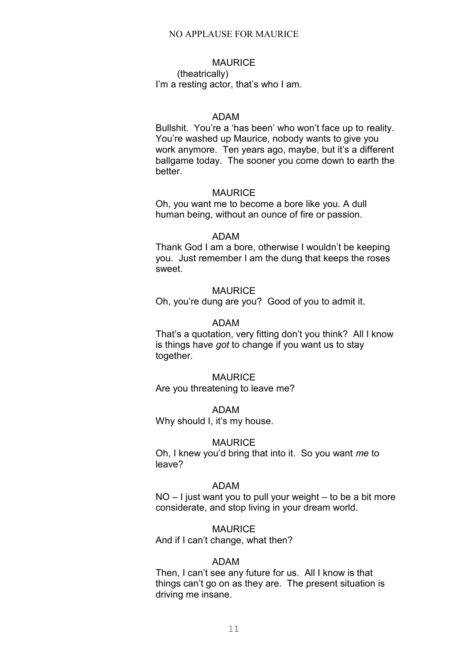# **MAURICE**

(theatrically) I'm a resting actor, that's who I am.

#### ADAM

Bullshit. You're a 'has been' who won't face up to reality. You're washed up Maurice, nobody wants to give you work anymore. Ten years ago, maybe, but it's a different ballgame today. The sooner you come down to earth the better.

#### MAURICE

Oh, you want me to become a bore like you. A dull human being, without an ounce of fire or passion.

## ADAM

Thank God I am a bore, otherwise I wouldn't be keeping you. Just remember I am the dung that keeps the roses sweet.

#### MAURICE

Oh, you're dung are you? Good of you to admit it.

# ADAM

That's a quotation, very fitting don't you think? All I know is things have *got* to change if you want us to stay together.

#### **MAURICE**

Are you threatening to leave me?

#### ADAM

Why should I, it's my house.

#### **MAURICE**

Oh, I knew you'd bring that into it. So you want *me* to leave?

## ADAM

NO – I just want you to pull your weight – to be a bit more considerate, and stop living in your dream world.

## MAURICE

And if I can't change, what then?

#### ADAM

Then, I can't see any future for us. All I know is that things can't go on as they are. The present situation is driving me insane.